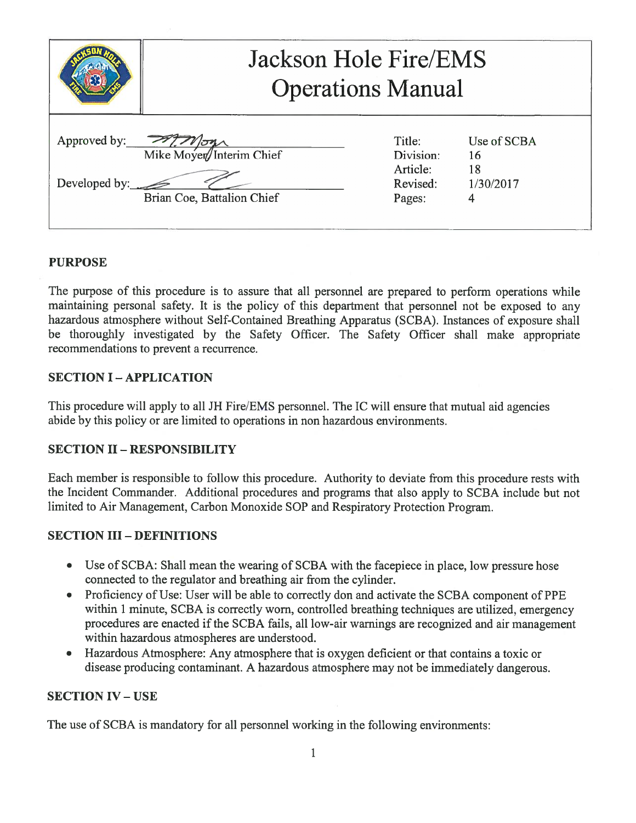|                                             | Jackson Hole Fire/EMS<br><b>Operations Manual</b>      |                                                       |                                      |
|---------------------------------------------|--------------------------------------------------------|-------------------------------------------------------|--------------------------------------|
| Approved by:<br>Developed by: $\frac{1}{2}$ | Mike Moyer/Interim Chief<br>Brian Coe, Battalion Chief | Title:<br>Division:<br>Article:<br>Revised:<br>Pages: | Use of SCBA<br>16<br>18<br>1/30/2017 |

# PURPOSE

The purpose of this procedure is to assure that all personnel are prepared to perform operations while maintaining personal safety. It is the policy of this department that personnel not be exposed to any hazardous atmosphere without Self-Contained Breathing Apparatus (SCBA). Instances of exposure shall be thoroughly investigated by the Safety Officer. The Safety Officer shall make appropriate recommendations to prevent a recurrence.

### **SECTION I - APPLICATION**

This procedure will apply to all JH Fire/EMS personnel. The IC will ensure that mutual aid agencies abide by this policy or are limited to operations in non hazardous environments.

### **SECTION II - RESPONSIBILITY**

Each member is responsible to follow this procedure. Authority to deviate from this procedure rests with the Incident Commander. Additional procedures and programs that also apply to SCBA include but not limited to Air Management, Carbon Monoxide SOP and Respiratory Protection Program.

### SECTION III -DEFINITIONS

- Use of SCBA: Shall mean the wearing of SCBA with the facepiece in place, low pressure hose connected to the regulator and breathing air from the cylinder.
- Proficiency of Use: User will be able to correctly don and activate the SCBA component of PPE within <sup>1</sup> minute, SCBA is correctly worn, controlled breathing techniques are utilized, emergency procedures are enacted if the SCBA fails, all low-air warnings are recognized and air management within hazardous atmospheres are understood.
- Hazardous Atmosphere: Any atmosphere that is oxygen deficient or that contains a toxic or disease producing contaminant. A hazardous atmosphere may not be immediately dangerous.

### **SECTION IV – USE**

The use of SCBA is mandatory for all personnel working in the following environments: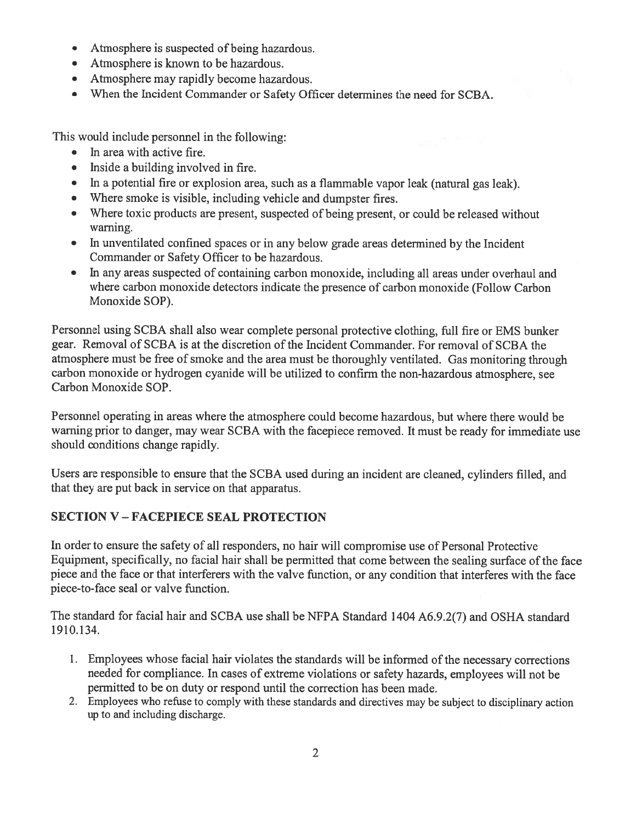- Atmosphere is suspected of being hazardous.
- Atmosphere is known to be hazardous.
- Atmosphere may rapidly become hazardous.
- When the Incident Commander or Safety Officer determines the need for SCBA.

This would include personnel in the following:

- In area with active fire.
- Inside a building involved in fire.
- In a potential fire or explosion area, such as a flammable vapor leak (natural gas leak).
- Where smoke is visible, including vehicle and dumpster fires.
- Where toxic products are present, suspected of being present, or could be released without warning.
- In unventilated confined spaces or in any below grade areas determined by the Incident Commander or Safety Officer to be hazardous.
- In any areas suspected of containing carbon monoxide, including all areas under overhaul and where carbon monoxide detectors indicate the presence of carbon monoxide (Follow Carbon Monoxide SOP).

Personnel using SCBA shall also wear complete personal protective clothing, full fire or EMS bunker gear. Removal of SCBA is at the discretion of the Incident Commander. For removal of SCBA the atmosphere must be free of smoke and the area must be thoroughly ventilated. Gas monitoring through carbon monoxide or hydrogen cyanide will be utilized to confirm the non-hazardous atmosphere, see Carbon Monoxide SOP.

Personnel operating in areas where the atmosphere could become hazardous, but where there would be warning prior to danger, may wear SCBA with the facepiece removed. It must be ready for immediate use should conditions change rapidly.

Users are responsible to ensure that the SCBA used during an incident are cleaned, cylinders filled, and that they are put back in service on that apparatus.

# SECTION <sup>V</sup> -FACEPIECE SEAL PROTECTION

In order to ensure the safety of all responders, no hair will compromise use of Personal Protective Equipment, specifically, no facial hair shall be permitted that come between the sealing surface ofthe face piece and the face or that interferers with the valve function, or any condition that interferes with the face piece-to-face seal or valve function.

The standard for facial hair and SCBA use shall be NFPA Standard 1404 A6.9.2(7) and OSHA standard 1910.134.

- 1. Employees whose facial hair violates the standards will be informed of the necessary corrections needed for compliance. In cases of extreme violations or safety hazards, employees will not be permitted to be on duty or respond until the correction has been made.
- 2. Employees who refuse to comply with these standards and directives may be subject to disciplinary action up to and including discharge.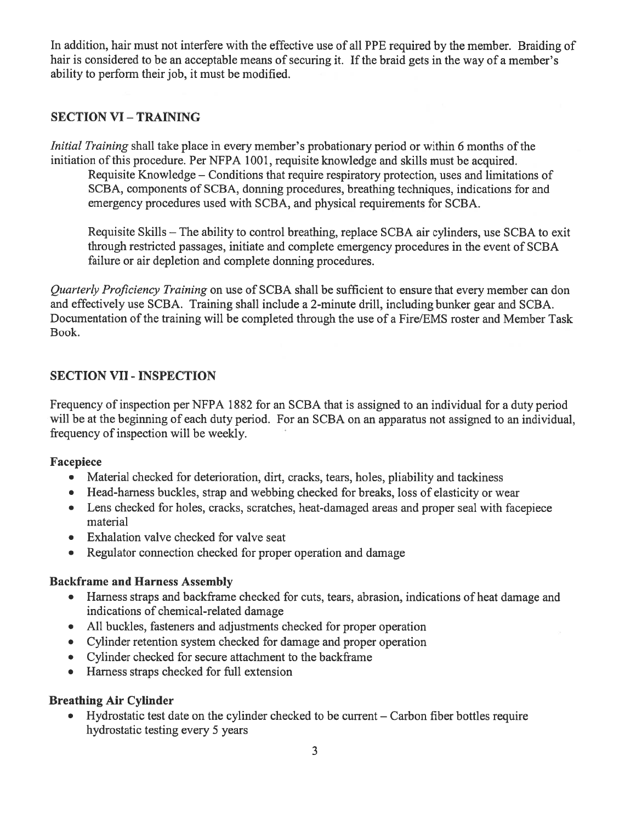In addition, hair must not interfere with the effective use of all PPE required by the member. Braiding of hair is considered to be an acceptable means of securing it. If the braid gets in the way of a member's ability to perform their job, it must be modified.

## SECTION VI- TRAINING

Initial Training shall take place in every member's probationary period or within 6 months of the initiation of this procedure. Per NFPA 1001, requisite knowledge and skills must be acquired. Requisite Knowledge — Conditions that require respiratory protection, uses and limitations of SCBA, components of SCBA, donning procedures, breathing techniques, indications for and emergency procedures used with SCBA, and physical requirements for SCBA.

Requisite Skills — The ability to control breathing, replace SCBA air cylinders, use SCBA to exit through restricted passages, initiate and complete emergency procedures in the event of SCBA failure or air depletion and complete donning procedures.

Quarterly Proficiency Training on use of SCBA shall be sufficient to ensure that every member can don and effectively use SCBA. Training shall include a 2-minute drill, including bunker gear and SCBA. Documentation of the training will be completed through the use of a Fire/EMS roster and Member Task Book.

### SECTION VII- INSPECTION

Frequency of inspection per NFPA 1882 for an SCBA that is assigned to an individual for a duty period will be at the beginning of each duty period. For an SCBA on an apparatus not assigned to an individual, frequency of inspection will be weekly.

### Facepiece

- Material checked for deterioration, dirt, cracks, tears, holes, pliability and tackiness
- Head-harness buckles, strap and webbing checked for breaks, loss of elasticity or wear
- Lens checked for holes, cracks, scratches, heat-damaged areas and proper seal with facepiece material
- Exhalation valve checked for valve seat
- Regulator connection checked for proper operation and damage

### Backframe and Harness Assembly

- Harness straps and backframe checked for cuts, tears, abrasion, indications of heat damage and indications of chemical-related damage
- All buckles, fasteners and adjustments checked for proper operation
- Cylinder retention system checked for damage and proper operation
- Cylinder checked for secure attachment to the backframe
- Harness straps checked for full extension

### Breathing Air Cylinder

• Hydrostatic test date on the cylinder checked to be current – Carbon fiber bottles require hydrostatic testing every 5 years